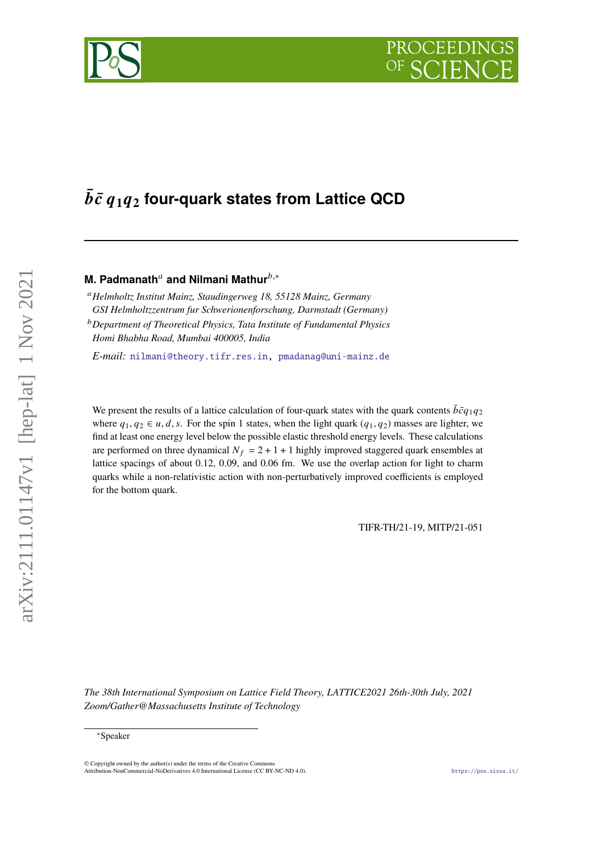# $\bar{b}\bar{c}$   $q_1q_2$  four-quark states from Lattice QCD

# **M. Padmanath<sup>a</sup> and Nilmani Mathur**<sup>b,∗</sup>

*Helmholtz Institut Mainz, Staudingerweg 18, 55128 Mainz, Germany GSI Helmholtzzentrum fur Schwerionenforschung, Darmstadt (Germany)*

*Department of Theoretical Physics, Tata Institute of Fundamental Physics Homi Bhabha Road, Mumbai 400005, India*

*E-mail:* [nilmani@theory.tifr.res.in,](mailto:nilmani@theory.tifr.res.in) [pmadanag@uni-mainz.de](mailto:pmadanag@uni-mainz.de)

We present the results of a lattice calculation of four-quark states with the quark contents  $\bar{b}\bar{c}q_1q_2$ where  $q_1, q_2 \in u, d, s$ . For the spin 1 states, when the light quark  $(q_1, q_2)$  masses are lighter, we find at least one energy level below the possible elastic threshold energy levels. These calculations are performed on three dynamical  $N_f = 2 + 1 + 1$  highly improved staggered quark ensembles at lattice spacings of about 0.12, 0.09, and 0.06 fm. We use the overlap action for light to charm quarks while a non-relativistic action with non-perturbatively improved coefficients is employed for the bottom quark.

TIFR-TH/21-19, MITP/21-051

*The 38th International Symposium on Lattice Field Theory, LATTICE2021 26th-30th July, 2021 Zoom/Gather@Massachusetts Institute of Technology*

© Copyright owned by the author(s) under the terms of the Creative Commons Attribution-NonCommercial-NoDerivatives 4.0 International License (CC BY-NC-ND 4.0). <https://pos.sissa.it/>



<sup>∗</sup>Speaker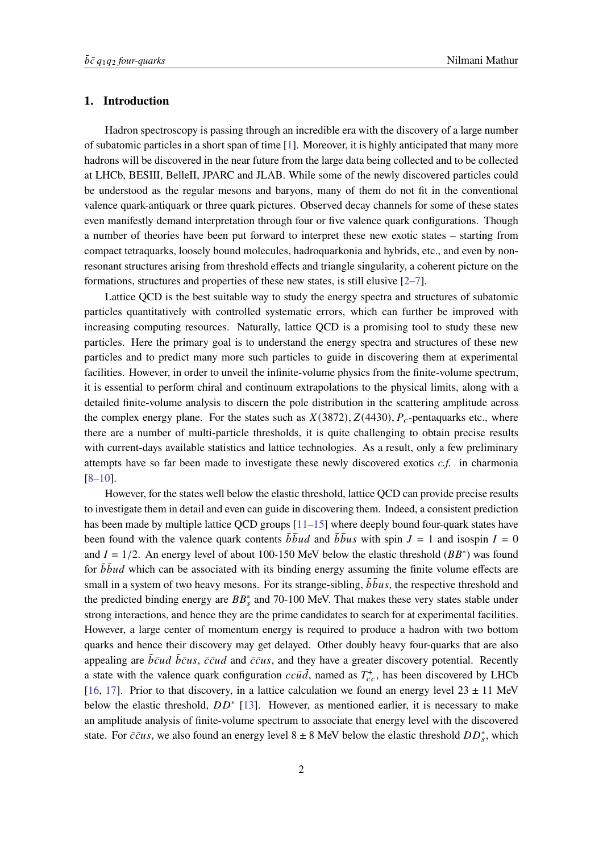## **1. Introduction**

Hadron spectroscopy is passing through an incredible era with the discovery of a large number of subatomic particles in a short span of time [\[1\]](#page-7-0). Moreover, it is highly anticipated that many more hadrons will be discovered in the near future from the large data being collected and to be collected at LHCb, BESIII, BelleII, JPARC and JLAB. While some of the newly discovered particles could be understood as the regular mesons and baryons, many of them do not fit in the conventional valence quark-antiquark or three quark pictures. Observed decay channels for some of these states even manifestly demand interpretation through four or five valence quark configurations. Though a number of theories have been put forward to interpret these new exotic states – starting from compact tetraquarks, loosely bound molecules, hadroquarkonia and hybrids, etc., and even by nonresonant structures arising from threshold effects and triangle singularity, a coherent picture on the formations, structures and properties of these new states, is still elusive [\[2](#page-7-1)[–7\]](#page-7-2).

Lattice QCD is the best suitable way to study the energy spectra and structures of subatomic particles quantitatively with controlled systematic errors, which can further be improved with increasing computing resources. Naturally, lattice QCD is a promising tool to study these new particles. Here the primary goal is to understand the energy spectra and structures of these new particles and to predict many more such particles to guide in discovering them at experimental facilities. However, in order to unveil the infinite-volume physics from the finite-volume spectrum, it is essential to perform chiral and continuum extrapolations to the physical limits, along with a detailed finite-volume analysis to discern the pole distribution in the scattering amplitude across the complex energy plane. For the states such as  $X(3872)$ ,  $Z(4430)$ ,  $P_c$ -pentaquarks etc., where there are a number of multi-particle thresholds, it is quite challenging to obtain precise results with current-days available statistics and lattice technologies. As a result, only a few preliminary attempts have so far been made to investigate these newly discovered exotics *c.f.* in charmonia [\[8](#page-8-0)[–10\]](#page-8-1).

However, for the states well below the elastic threshold, lattice QCD can provide precise results to investigate them in detail and even can guide in discovering them. Indeed, a consistent prediction has been made by multiple lattice QCD groups [\[11](#page-8-2)[–15\]](#page-8-3) where deeply bound four-quark states have been found with the valence quark contents  $\bar{b} \bar{b} u d$  and  $\bar{b} \bar{b} u s$  with spin  $J = 1$  and isospin  $I = 0$ and  $I = 1/2$ . An energy level of about 100-150 MeV below the elastic threshold ( $BB^*$ ) was found for  $\bar{b} \bar{b} u d$  which can be associated with its binding energy assuming the finite volume effects are small in a system of two heavy mesons. For its strange-sibling,  $\bar{b} \bar{b} u s$ , the respective threshold and the predicted binding energy are  $BB_s^*$  and 70-100 MeV. That makes these very states stable under strong interactions, and hence they are the prime candidates to search for at experimental facilities. However, a large center of momentum energy is required to produce a hadron with two bottom quarks and hence their discovery may get delayed. Other doubly heavy four-quarks that are also appealing are  $\bar{b}\bar{c}ud \bar{b}\bar{c}us$ ,  $\bar{c}\bar{c}ud$  and  $\bar{c}\bar{c}us$ , and they have a greater discovery potential. Recently a state with the valence quark configuration  $cc\bar{u}\bar{d}$ , named as  $T_{cc}^+$ , has been discovered by LHCb [\[16,](#page-8-4) [17\]](#page-8-5). Prior to that discovery, in a lattice calculation we found an energy level  $23 \pm 11$  MeV below the elastic threshold,  $DD^*$  [\[13\]](#page-8-6). However, as mentioned earlier, it is necessary to make an amplitude analysis of finite-volume spectrum to associate that energy level with the discovered state. For  $\bar{c} \bar{c} u s$ , we also found an energy level 8 ± 8 MeV below the elastic threshold  $DD_s^*$ , which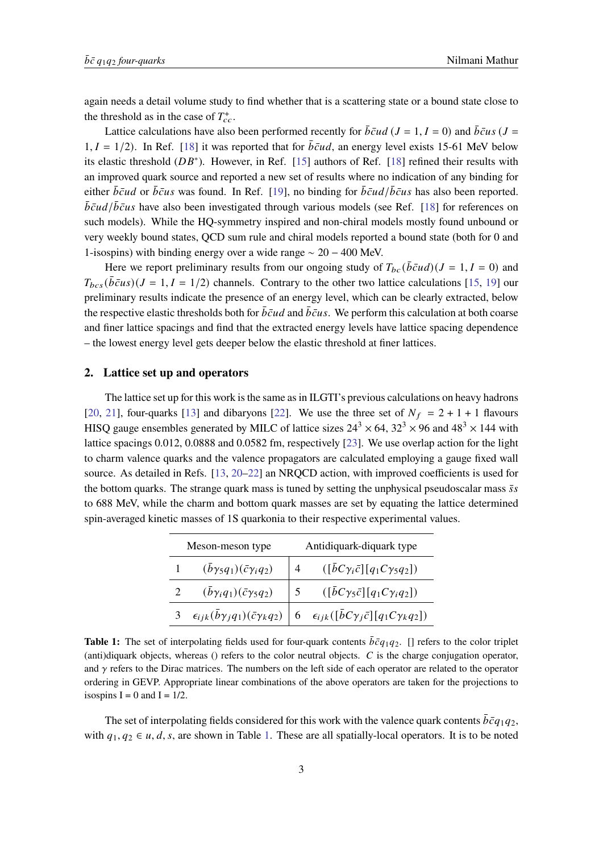again needs a detail volume study to find whether that is a scattering state or a bound state close to the threshold as in the case of  $T_{cc}^+$ .

Lattice calculations have also been performed recently for  $\bar{b}\bar{c}ud$  ( $J = 1, I = 0$ ) and  $\bar{b}\bar{c}us$  ( $J =$  $1, I = 1/2$ ). In Ref. [\[18\]](#page-8-7) it was reported that for  $\overline{bc}ud$ , an energy level exists 15-61 MeV below its elastic threshold  $(DB^*)$ . However, in Ref. [\[15\]](#page-8-3) authors of Ref. [\[18\]](#page-8-7) refined their results with an improved quark source and reported a new set of results where no indication of any binding for either  $\bar{b}\bar{c}u$  or  $\bar{b}\bar{c}u s$  was found. In Ref. [\[19\]](#page-8-8), no binding for  $\bar{b}\bar{c}u d/\bar{b}\bar{c}u s$  has also been reported.  $\bar{b}\bar{c}ud/\bar{b}\bar{c}us$  have also been investigated through various models (see Ref. [\[18\]](#page-8-7) for references on such models). While the HQ-symmetry inspired and non-chiral models mostly found unbound or very weekly bound states, QCD sum rule and chiral models reported a bound state (both for 0 and 1-isospins) with binding energy over a wide range ∼ 20 − 400 MeV.

Here we report preliminary results from our ongoing study of  $T_{bc}(\bar{bc}ud)(J = 1, I = 0)$  and  $T_{bcs}(\bar{b}\bar{c}us)(J = 1, I = 1/2)$  channels. Contrary to the other two lattice calculations [\[15,](#page-8-3) [19\]](#page-8-8) our preliminary results indicate the presence of an energy level, which can be clearly extracted, below the respective elastic thresholds both for  $\bar{b}\bar{c}ud$  and  $\bar{b}\bar{c}us$ . We perform this calculation at both coarse and finer lattice spacings and find that the extracted energy levels have lattice spacing dependence – the lowest energy level gets deeper below the elastic threshold at finer lattices.

# **2. Lattice set up and operators**

The lattice set up for this work is the same as in ILGTI's previous calculations on heavy hadrons [\[20,](#page-8-9) [21\]](#page-8-10), four-quarks [\[13\]](#page-8-6) and dibaryons [\[22\]](#page-8-11). We use the three set of  $N_f = 2 + 1 + 1$  flavours HISQ gauge ensembles generated by MILC of lattice sizes  $24^3 \times 64$ ,  $32^3 \times 96$  and  $48^3 \times 144$  with lattice spacings 0.012, 0.0888 and 0.0582 fm, respectively [\[23\]](#page-8-12). We use overlap action for the light to charm valence quarks and the valence propagators are calculated employing a gauge fixed wall source. As detailed in Refs. [\[13,](#page-8-6) [20](#page-8-9)[–22\]](#page-8-11) an NRQCD action, with improved coefficients is used for the bottom quarks. The strange quark mass is tuned by setting the unphysical pseudoscalar mass  $\bar{s}s$ to 688 MeV, while the charm and bottom quark masses are set by equating the lattice determined spin-averaged kinetic masses of 1S quarkonia to their respective experimental values.

<span id="page-2-0"></span>

| Meson-meson type |                                              | Antidiquark-diquark type |                                                                                                                               |
|------------------|----------------------------------------------|--------------------------|-------------------------------------------------------------------------------------------------------------------------------|
|                  | $(\bar{b}\gamma_5 q_1)(\bar{c}\gamma_i q_2)$ |                          | $([bC\gamma_i\bar{c}][q_1C\gamma_5q_2])$                                                                                      |
|                  | $(\bar{b}\gamma_iq_1)(\bar{c}\gamma_5q_2)$   |                          | $([bC\gamma_5\bar{c}][q_1C\gamma_iq_2])$                                                                                      |
|                  |                                              |                          | 3 $\epsilon_{ijk}(\bar{b}\gamma_j q_1)(\bar{c}\gamma_k q_2)$ 6 $\epsilon_{ijk}([\bar{b}C\gamma_j \bar{c}][q_1C\gamma_k q_2])$ |

**Table 1:** The set of interpolating fields used for four-quark contents  $\bar{b}\bar{c}q_1q_2$ . [] refers to the color triplet (anti)diquark objects, whereas () refers to the color neutral objects.  $C$  is the charge conjugation operator, and  $\gamma$  refers to the Dirac matrices. The numbers on the left side of each operator are related to the operator ordering in GEVP. Appropriate linear combinations of the above operators are taken for the projections to isospins  $I = 0$  and  $I = 1/2$ .

The set of interpolating fields considered for this work with the valence quark contents  $\bar{b}\bar{c}q_1q_2$ , with  $q_1, q_2 \in u, d, s$ , are shown in Table [1.](#page-2-0) These are all spatially-local operators. It is to be noted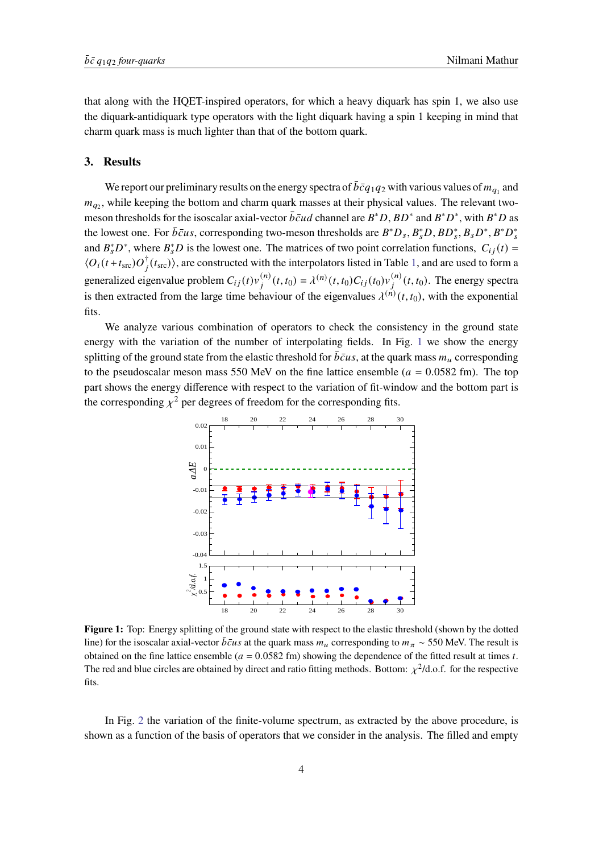that along with the HQET-inspired operators, for which a heavy diquark has spin 1, we also use the diquark-antidiquark type operators with the light diquark having a spin 1 keeping in mind that charm quark mass is much lighter than that of the bottom quark.

#### **3. Results**

We report our preliminary results on the energy spectra of  $\bar{b}\bar{c}q_1q_2$  with various values of  $m_{q_1}$  and  $m_{q_2}$ , while keeping the bottom and charm quark masses at their physical values. The relevant twomeson thresholds for the isoscalar axial-vector  $\overline{b} \overline{c} u d$  channel are  $B^* D$ ,  $BD^*$  and  $B^* D^*$ , with  $B^* D$  as the lowest one. For  $\bar{b} \bar{c} u s$ , corresponding two-meson thresholds are  $B^* D_s$ ,  $B_s^* D$ ,  $B D_s^*$ ,  $B_s D^*$ ,  $B^* D_s^*$ and  $B_s^*D^*$ , where  $B_s^*D$  is the lowest one. The matrices of two point correlation functions,  $C_{ij}(t)$  =  $\langle O_i(t+t_{\rm src})O_j^{\dagger}(t_{\rm src})\rangle$ , are constructed with the interpolators listed in Table [1,](#page-2-0) and are used to form a generalized eigenvalue problem  $C_{ij}(t)v_j^{(n)}(t,t_0) = \lambda^{(n)}(t,t_0)C_{ij}(t_0)v_j^{(n)}(t,t_0)$ . The energy spectra is then extracted from the large time behaviour of the eigenvalues  $\lambda^{(n)}(t, t_0)$ , with the exponential fits.

<span id="page-3-0"></span>We analyze various combination of operators to check the consistency in the ground state energy with the variation of the number of interpolating fields. In Fig. [1](#page-3-0) we show the energy splitting of the ground state from the elastic threshold for  $\bar{b}\bar{c}us$ , at the quark mass  $m_u$  corresponding to the pseudoscalar meson mass 550 MeV on the fine lattice ensemble ( $a = 0.0582$  fm). The top part shows the energy difference with respect to the variation of fit-window and the bottom part is the corresponding  $y^2$  per degrees of freedom for the corresponding fits.



**Figure 1:** Top: Energy splitting of the ground state with respect to the elastic threshold (shown by the dotted line) for the isoscalar axial-vector  $\bar{b}\bar{c}u s$  at the quark mass  $m_u$  corresponding to  $m_{\pi} \sim 550$  MeV. The result is obtained on the fine lattice ensemble ( $a = 0.0582$  fm) showing the dependence of the fitted result at times t. The red and blue circles are obtained by direct and ratio fitting methods. Bottom:  $\chi^2$ /d.o.f. for the respective fits.

In Fig. [2](#page-4-0) the variation of the finite-volume spectrum, as extracted by the above procedure, is shown as a function of the basis of operators that we consider in the analysis. The filled and empty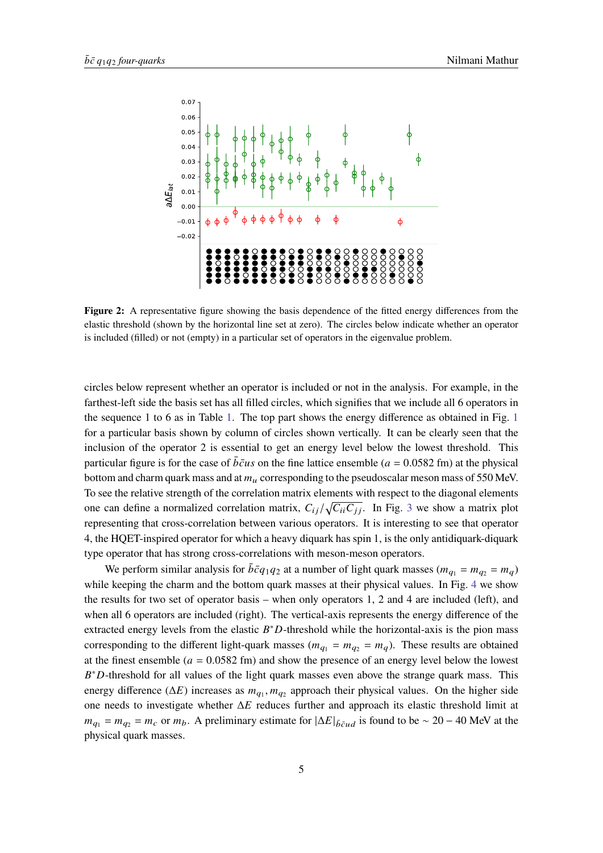<span id="page-4-0"></span>

**Figure 2:** A representative figure showing the basis dependence of the fitted energy differences from the elastic threshold (shown by the horizontal line set at zero). The circles below indicate whether an operator is included (filled) or not (empty) in a particular set of operators in the eigenvalue problem.

circles below represent whether an operator is included or not in the analysis. For example, in the farthest-left side the basis set has all filled circles, which signifies that we include all 6 operators in the sequence 1 to 6 as in Table [1.](#page-2-0) The top part shows the energy difference as obtained in Fig. [1](#page-3-0) for a particular basis shown by column of circles shown vertically. It can be clearly seen that the inclusion of the operator 2 is essential to get an energy level below the lowest threshold. This particular figure is for the case of  $\bar{bc}u\bar{s}$  on the fine lattice ensemble ( $a = 0.0582$  fm) at the physical bottom and charm quark mass and at  $m<sub>u</sub>$  corresponding to the pseudoscalar meson mass of 550 MeV. To see the relative strength of the correlation matrix elements with respect to the diagonal elements one can define a normalized correlation matrix,  $C_{ii}/\sqrt{C_{ii}C_{jj}}$ . In Fig. [3](#page-5-0) we show a matrix plot representing that cross-correlation between various operators. It is interesting to see that operator 4, the HQET-inspired operator for which a heavy diquark has spin 1, is the only antidiquark-diquark type operator that has strong cross-correlations with meson-meson operators.

We perform similar analysis for  $\bar{b}\bar{c}q_1q_2$  at a number of light quark masses  $(m_{q_1} = m_{q_2} = m_q)$ while keeping the charm and the bottom quark masses at their physical values. In Fig. [4](#page-5-1) we show the results for two set of operator basis – when only operators 1, 2 and 4 are included (left), and when all 6 operators are included (right). The vertical-axis represents the energy difference of the extracted energy levels from the elastic  $B^*D$ -threshold while the horizontal-axis is the pion mass corresponding to the different light-quark masses ( $m_{q_1} = m_{q_2} = m_q$ ). These results are obtained at the finest ensemble ( $a = 0.0582$  fm) and show the presence of an energy level below the lowest  $B^*D$ -threshold for all values of the light quark masses even above the strange quark mass. This energy difference ( $\Delta E$ ) increases as  $m_{q_1}, m_{q_2}$  approach their physical values. On the higher side one needs to investigate whether  $\Delta E$  reduces further and approach its elastic threshold limit at  $m_{q_1} = m_{q_2} = m_c$  or  $m_b$ . A preliminary estimate for  $|\Delta E|_{\bar{b} \bar{c} u d}$  is found to be ~ 20 – 40 MeV at the physical quark masses.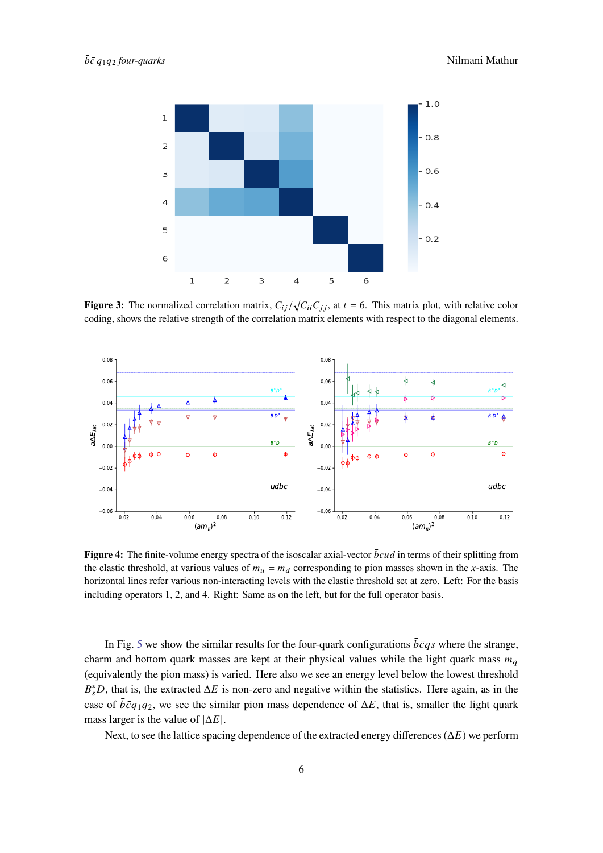<span id="page-5-0"></span>

**Figure 3:** The normalized correlation matrix,  $C_{ij}/\sqrt{C_{ii}C_{jj}}$ , at  $t = 6$ . This matrix plot, with relative color coding, shows the relative strength of the correlation matrix elements with respect to the diagonal elements.

<span id="page-5-1"></span>

**Figure 4:** The finite-volume energy spectra of the isoscalar axial-vector  $\bar{b}\bar{c}ud$  in terms of their splitting from the elastic threshold, at various values of  $m_u = m_d$  corresponding to pion masses shown in the x-axis. The horizontal lines refer various non-interacting levels with the elastic threshold set at zero. Left: For the basis including operators 1, 2, and 4. Right: Same as on the left, but for the full operator basis.

In Fig. [5](#page-6-0) we show the similar results for the four-quark configurations  $\bar{b}\bar{c}q\bar{s}$  where the strange, charm and bottom quark masses are kept at their physical values while the light quark mass  $m_q$ (equivalently the pion mass) is varied. Here also we see an energy level below the lowest threshold  $B_s^*D$ , that is, the extracted  $\Delta E$  is non-zero and negative within the statistics. Here again, as in the case of  $\bar{b}\bar{c}q_1q_2$ , we see the similar pion mass dependence of  $\Delta E$ , that is, smaller the light quark mass larger is the value of  $|\Delta E|$ .

Next, to see the lattice spacing dependence of the extracted energy differences ( $\Delta E$ ) we perform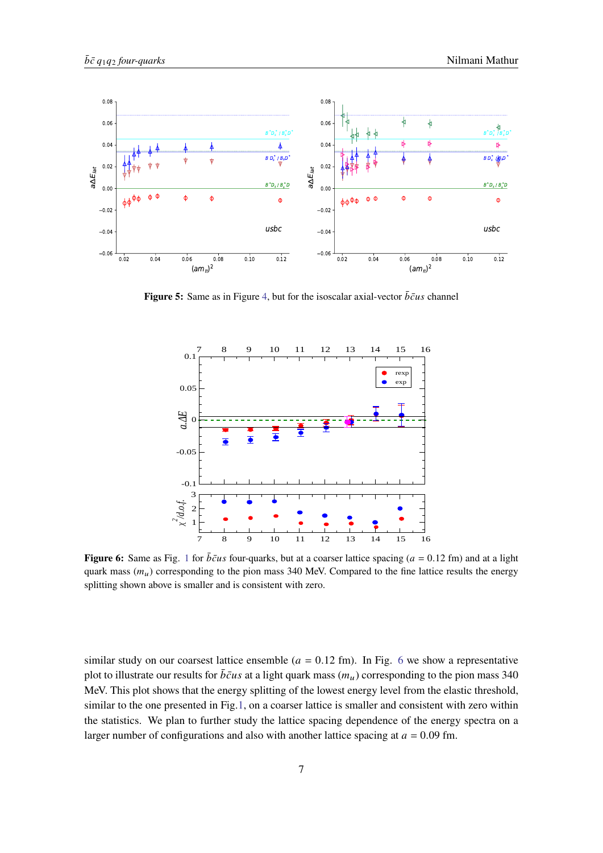<span id="page-6-0"></span>

<span id="page-6-1"></span>**Figure 5:** Same as in Figure [4,](#page-5-1) but for the isoscalar axial-vector  $\bar{b}\bar{c}u s$  channel



**Figure 6:** Same as Fig. [1](#page-3-0) for  $\bar{b}\bar{c}us$  four-quarks, but at a coarser lattice spacing ( $a = 0.12$  fm) and at a light quark mass  $(m_u)$  corresponding to the pion mass 340 MeV. Compared to the fine lattice results the energy splitting shown above is smaller and is consistent with zero.

similar study on our coarsest lattice ensemble ( $a = 0.12$  fm). In Fig. [6](#page-6-1) we show a representative plot to illustrate our results for  $\bar{b}\bar{c}u s$  at a light quark mass  $(m_u)$  corresponding to the pion mass 340 MeV. This plot shows that the energy splitting of the lowest energy level from the elastic threshold, similar to the one presented in Fig[.1,](#page-3-0) on a coarser lattice is smaller and consistent with zero within the statistics. We plan to further study the lattice spacing dependence of the energy spectra on a larger number of configurations and also with another lattice spacing at  $a = 0.09$  fm.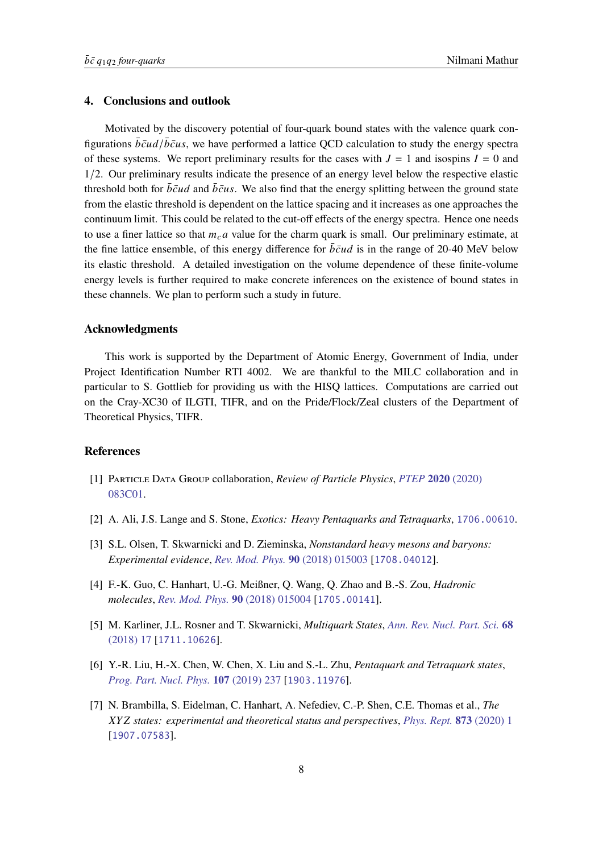# **4. Conclusions and outlook**

Motivated by the discovery potential of four-quark bound states with the valence quark configurations  $\bar{b}\bar{c}ud/\bar{b}\bar{c}us$ , we have performed a lattice QCD calculation to study the energy spectra of these systems. We report preliminary results for the cases with  $J = 1$  and isospins  $I = 0$  and 1/2. Our preliminary results indicate the presence of an energy level below the respective elastic threshold both for  $\bar{b}\bar{c}ud$  and  $\bar{b}\bar{c}us$ . We also find that the energy splitting between the ground state from the elastic threshold is dependent on the lattice spacing and it increases as one approaches the continuum limit. This could be related to the cut-off effects of the energy spectra. Hence one needs to use a finer lattice so that  $m<sub>c</sub>a$  value for the charm quark is small. Our preliminary estimate, at the fine lattice ensemble, of this energy difference for  $\bar{b}\bar{c}ud$  is in the range of 20-40 MeV below its elastic threshold. A detailed investigation on the volume dependence of these finite-volume energy levels is further required to make concrete inferences on the existence of bound states in these channels. We plan to perform such a study in future.

## **Acknowledgments**

This work is supported by the Department of Atomic Energy, Government of India, under Project Identification Number RTI 4002. We are thankful to the MILC collaboration and in particular to S. Gottlieb for providing us with the HISQ lattices. Computations are carried out on the Cray-XC30 of ILGTI, TIFR, and on the Pride/Flock/Zeal clusters of the Department of Theoretical Physics, TIFR.

## **References**

- <span id="page-7-0"></span>[1] Particle Data Group collaboration, *Review of Particle Physics*, *[PTEP](https://doi.org/10.1093/ptep/ptaa104)* **2020** (2020) [083C01.](https://doi.org/10.1093/ptep/ptaa104)
- <span id="page-7-1"></span>[2] A. Ali, J.S. Lange and S. Stone, *Exotics: Heavy Pentaquarks and Tetraquarks*, [1706.00610](https://arxiv.org/abs/1706.00610).
- [3] S.L. Olsen, T. Skwarnicki and D. Zieminska, *Nonstandard heavy mesons and baryons: Experimental evidence*, *[Rev. Mod. Phys.](https://doi.org/10.1103/RevModPhys.90.015003)* **90** (2018) 015003 [[1708.04012](https://arxiv.org/abs/1708.04012)].
- [4] F.-K. Guo, C. Hanhart, U.-G. Meißner, Q. Wang, Q. Zhao and B.-S. Zou, *Hadronic molecules*, *[Rev. Mod. Phys.](https://doi.org/10.1103/RevModPhys.90.015004)* **90** (2018) 015004 [[1705.00141](https://arxiv.org/abs/1705.00141)].
- [5] M. Karliner, J.L. Rosner and T. Skwarnicki, *Multiquark States*, *[Ann. Rev. Nucl. Part. Sci.](https://doi.org/10.1146/annurev-nucl-101917-020902)* **68** [\(2018\) 17](https://doi.org/10.1146/annurev-nucl-101917-020902) [[1711.10626](https://arxiv.org/abs/1711.10626)].
- [6] Y.-R. Liu, H.-X. Chen, W. Chen, X. Liu and S.-L. Zhu, *Pentaquark and Tetraquark states*, *[Prog. Part. Nucl. Phys.](https://doi.org/10.1016/j.ppnp.2019.04.003)* **107** (2019) 237 [[1903.11976](https://arxiv.org/abs/1903.11976)].
- <span id="page-7-2"></span>[7] N. Brambilla, S. Eidelman, C. Hanhart, A. Nefediev, C.-P. Shen, C.E. Thomas et al., *The states: experimental and theoretical status and perspectives*, *[Phys. Rept.](https://doi.org/10.1016/j.physrep.2020.05.001)* **873** (2020) 1 [[1907.07583](https://arxiv.org/abs/1907.07583)].